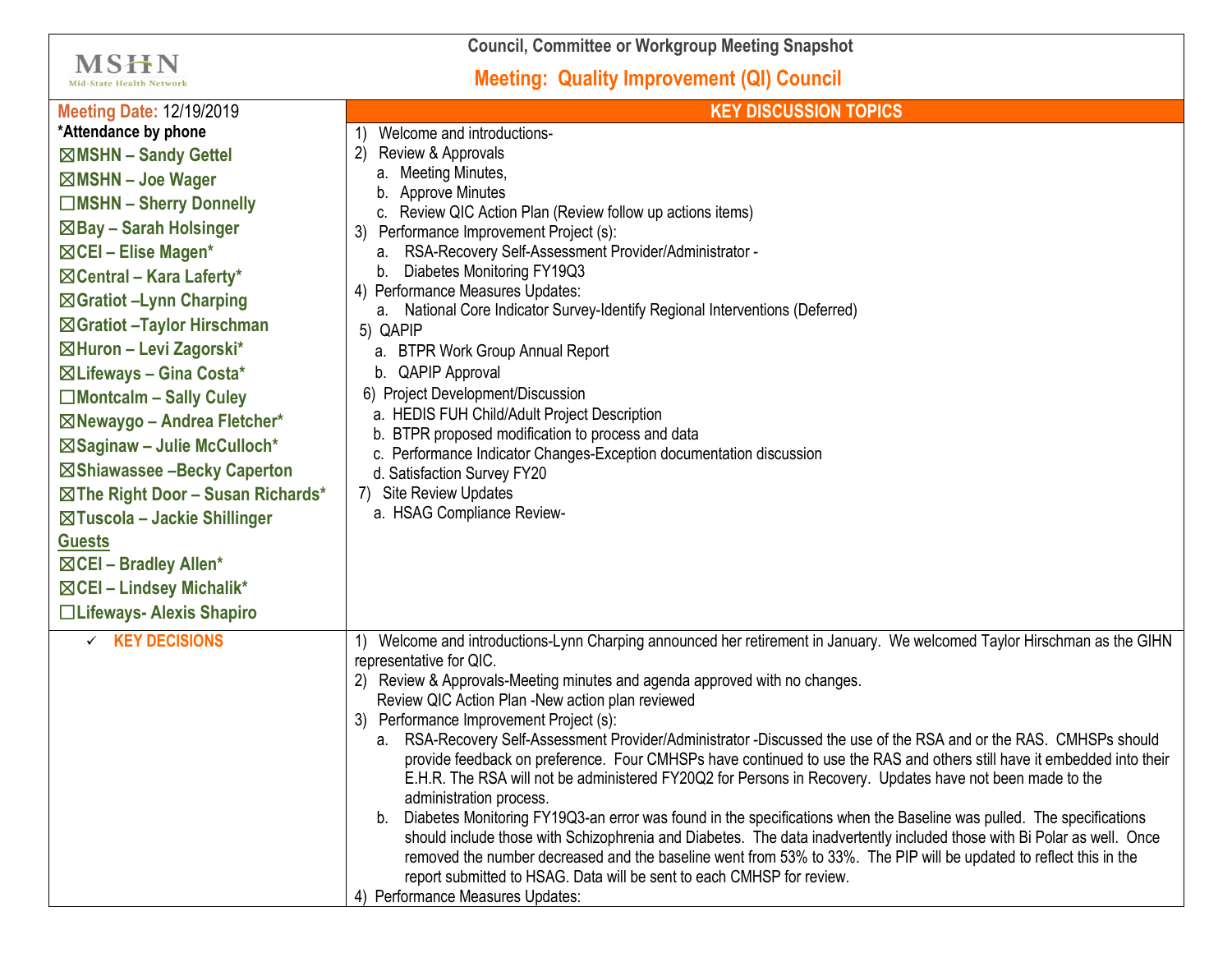| <b>Council, Committee or Workgroup Meeting Snapshot</b>                                                                                                                                                                                                                                                                                                                                                                                                                                                                                                                                                                                                                                                |                                                                                                                                                                                                                                                                                                                                                                                                                                                                                                                                                                                                                                                                                                                                                                                                                                                                                                                                                                                                                                                                                                                                                                                                                |
|--------------------------------------------------------------------------------------------------------------------------------------------------------------------------------------------------------------------------------------------------------------------------------------------------------------------------------------------------------------------------------------------------------------------------------------------------------------------------------------------------------------------------------------------------------------------------------------------------------------------------------------------------------------------------------------------------------|----------------------------------------------------------------------------------------------------------------------------------------------------------------------------------------------------------------------------------------------------------------------------------------------------------------------------------------------------------------------------------------------------------------------------------------------------------------------------------------------------------------------------------------------------------------------------------------------------------------------------------------------------------------------------------------------------------------------------------------------------------------------------------------------------------------------------------------------------------------------------------------------------------------------------------------------------------------------------------------------------------------------------------------------------------------------------------------------------------------------------------------------------------------------------------------------------------------|
| <b>MSHN</b><br><b>Mid-State Health Network</b>                                                                                                                                                                                                                                                                                                                                                                                                                                                                                                                                                                                                                                                         | <b>Meeting: Quality Improvement (QI) Council</b>                                                                                                                                                                                                                                                                                                                                                                                                                                                                                                                                                                                                                                                                                                                                                                                                                                                                                                                                                                                                                                                                                                                                                               |
| <b>Meeting Date: 12/19/2019</b><br>*Attendance by phone<br>⊠MSHN - Sandy Gettel<br>$\boxtimes$ MSHN - Joe Wager<br>□MSHN - Sherry Donnelly<br>$\boxtimes$ Bay – Sarah Holsinger<br>⊠CEI - Elise Magen*<br>$\boxtimes$ Central – Kara Laferty*<br>⊠ Gratiot -Lynn Charping<br>⊠ Gratiot - Taylor Hirschman<br>⊠Huron - Levi Zagorski*<br>$\boxtimes$ Lifeways - Gina Costa*<br>$\Box$ Montcalm - Sally Culey<br>⊠Newaygo - Andrea Fletcher*<br>⊠Saginaw - Julie McCulloch*<br>⊠Shiawassee -Becky Caperton<br>$\boxtimes$ The Right Door - Susan Richards*<br>$\boxtimes$ Tuscola – Jackie Shillinger<br><b>Guests</b><br>⊠CEI - Bradley Allen*<br>⊠CEI - Lindsey Michalik*<br>□Lifeways- Alexis Shapiro | <b>KEY DISCUSSION TOPICS</b><br>Welcome and introductions-<br>Review & Approvals<br>a. Meeting Minutes,<br><b>Approve Minutes</b><br>b.<br>c. Review QIC Action Plan (Review follow up actions items)<br>Performance Improvement Project (s):<br>RSA-Recovery Self-Assessment Provider/Administrator -<br>а.<br>Diabetes Monitoring FY19Q3<br>b.<br>4) Performance Measures Updates:<br>a. National Core Indicator Survey-Identify Regional Interventions (Deferred)<br>5) QAPIP<br><b>BTPR Work Group Annual Report</b><br>а.<br><b>QAPIP Approval</b><br>b.<br>6) Project Development/Discussion<br>a. HEDIS FUH Child/Adult Project Description<br>b. BTPR proposed modification to process and data<br>c. Performance Indicator Changes-Exception documentation discussion<br>d. Satisfaction Survey FY20<br>7) Site Review Updates<br>a. HSAG Compliance Review-                                                                                                                                                                                                                                                                                                                                          |
| $\times$ KEY DECISIONS                                                                                                                                                                                                                                                                                                                                                                                                                                                                                                                                                                                                                                                                                 | Welcome and introductions-Lynn Charping announced her retirement in January. We welcomed Taylor Hirschman as the GIHN<br>representative for QIC.<br>2) Review & Approvals-Meeting minutes and agenda approved with no changes.<br>Review QIC Action Plan -New action plan reviewed<br>3) Performance Improvement Project (s):<br>a. RSA-Recovery Self-Assessment Provider/Administrator -Discussed the use of the RSA and or the RAS. CMHSPs should<br>provide feedback on preference. Four CMHSPs have continued to use the RAS and others still have it embedded into their<br>E.H.R. The RSA will not be administered FY20Q2 for Persons in Recovery. Updates have not been made to the<br>administration process.<br>b. Diabetes Monitoring FY19Q3-an error was found in the specifications when the Baseline was pulled. The specifications<br>should include those with Schizophrenia and Diabetes. The data inadvertently included those with Bi Polar as well. Once<br>removed the number decreased and the baseline went from 53% to 33%. The PIP will be updated to reflect this in the<br>report submitted to HSAG. Data will be sent to each CMHSP for review.<br>4) Performance Measures Updates: |